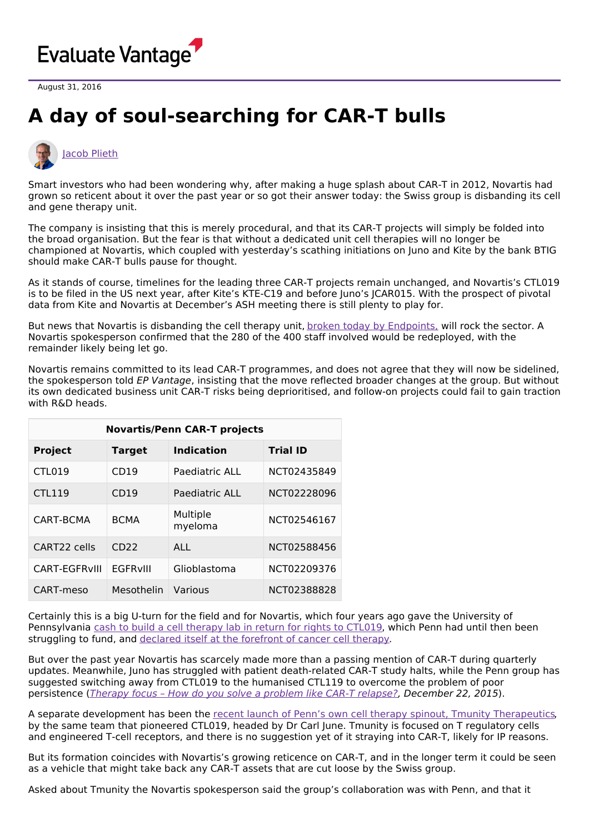

August 31, 2016

## **A day of soul-searching for CAR-T bulls**



Smart investors who had been wondering why, after making a huge splash about CAR-T in 2012, Novartis had grown so reticent about it over the past year or so got their answer today: the Swiss group is disbanding its cell and gene therapy unit.

The company is insisting that this is merely procedural, and that its CAR-T projects will simply be folded into the broad organisation. But the fear is that without a dedicated unit cell therapies will no longer be championed at Novartis, which coupled with yesterday's scathing initiations on Juno and Kite by the bank BTIG should make CAR-T bulls pause for thought.

As it stands of course, timelines for the leading three CAR-T projects remain unchanged, and Novartis's CTL019 is to be filed in the US next year, after Kite's KTE-C19 and before Juno's JCAR015. With the prospect of pivotal data from Kite and Novartis at December's ASH meeting there is still plenty to play for.

But news that Novartis is disbanding the cell therapy unit, broken today by [Endpoints,](http://endpts.com/scoop-novartis-disbands-its-pioneering-cell-and-gene-therapy-unit/) will rock the sector. A Novartis spokesperson confirmed that the 280 of the 400 staff involved would be redeployed, with the remainder likely being let go.

Novartis remains committed to its lead CAR-T programmes, and does not agree that they will now be sidelined, the spokesperson told EP Vantage, insisting that the move reflected broader changes at the group. But without its own dedicated business unit CAR-T risks being deprioritised, and follow-on projects could fail to gain traction with R&D heads.

| <b>Novartis/Penn CAR-T projects</b> |                  |                     |                 |
|-------------------------------------|------------------|---------------------|-----------------|
| <b>Project</b>                      | <b>Target</b>    | <b>Indication</b>   | <b>Trial ID</b> |
| <b>CTL019</b>                       | CD19             | Paediatric ALL      | NCT02435849     |
| <b>CTL119</b>                       | CD <sub>19</sub> | Paediatric ALL      | NCT02228096     |
| CART-BCMA                           | <b>BCMA</b>      | Multiple<br>myeloma | NCT02546167     |
| CART22 cells                        | CD <sub>22</sub> | ALL                 | NCT02588456     |
| CART-EGFRVIII                       | <b>EGFRVIII</b>  | Glioblastoma        | NCT02209376     |
| CART-meso                           | Mesothelin       | Various             | NCT02388828     |

Certainly this is a big U-turn for the field and for Novartis, which four years ago gave the University of Pennsylvania cash to build a cell [therapy](http://www.uphs.upenn.edu/news/News_Releases/2012/08/novartis/) lab in return for rights to CTL019, which Penn had until then been struggling to fund, and declared itself at the [forefront](http://www.forbes.com/sites/matthewherper/2014/05/07/is-this-how-well-cure-cancer/#57b059c85a94) of cancer cell therapy.

But over the past year Novartis has scarcely made more than a passing mention of CAR-T during quarterly updates. Meanwhile, Juno has struggled with patient death-related CAR-T study halts, while the Penn group has suggested switching away from CTL019 to the humanised CTL119 to overcome the problem of poor persistence (Therapy focus – How do you solve a [problem](http://epvantage.com/Universal/View.aspx?type=Story&id=613678&isEPVantage=yes) like CAR-T relapse?, December 22, 2015).

A separate development has been the recent launch of Penn's own cell therapy spinout, Tmunity [Therapeutics](http://www.prnewswire.com/news-releases/tmunity-therapeutics-inc-to-advance-ind-enabling-activities-for-personalized-next-generation-engineered-t-cell-therapies-with-10-million-financing-300203157.html), by the same team that pioneered CTL019, headed by Dr Carl June. Tmunity is focused on T regulatory cells and engineered T-cell receptors, and there is no suggestion yet of it straying into CAR-T, likely for IP reasons.

But its formation coincides with Novartis's growing reticence on CAR-T, and in the longer term it could be seen as a vehicle that might take back any CAR-T assets that are cut loose by the Swiss group.

Asked about Tmunity the Novartis spokesperson said the group's collaboration was with Penn, and that it